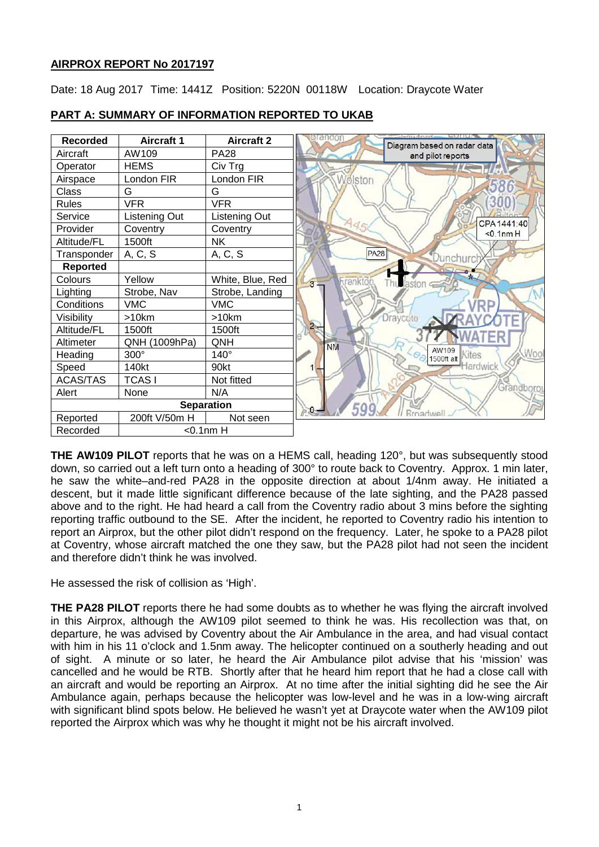# **AIRPROX REPORT No 2017197**

Date: 18 Aug 2017 Time: 1441Z Position: 5220N 00118W Location: Draycote Water



# **PART A: SUMMARY OF INFORMATION REPORTED TO UKAB**

**THE AW109 PILOT** reports that he was on a HEMS call, heading 120°, but was subsequently stood down, so carried out a left turn onto a heading of 300° to route back to Coventry. Approx. 1 min later, he saw the white–and-red PA28 in the opposite direction at about 1/4nm away. He initiated a descent, but it made little significant difference because of the late sighting, and the PA28 passed above and to the right. He had heard a call from the Coventry radio about 3 mins before the sighting reporting traffic outbound to the SE. After the incident, he reported to Coventry radio his intention to report an Airprox, but the other pilot didn't respond on the frequency. Later, he spoke to a PA28 pilot at Coventry, whose aircraft matched the one they saw, but the PA28 pilot had not seen the incident and therefore didn't think he was involved.

He assessed the risk of collision as 'High'.

**THE PA28 PILOT** reports there he had some doubts as to whether he was flying the aircraft involved in this Airprox, although the AW109 pilot seemed to think he was. His recollection was that, on departure, he was advised by Coventry about the Air Ambulance in the area, and had visual contact with him in his 11 o'clock and 1.5nm away. The helicopter continued on a southerly heading and out of sight. A minute or so later, he heard the Air Ambulance pilot advise that his 'mission' was cancelled and he would be RTB. Shortly after that he heard him report that he had a close call with an aircraft and would be reporting an Airprox. At no time after the initial sighting did he see the Air Ambulance again, perhaps because the helicopter was low-level and he was in a low-wing aircraft with significant blind spots below. He believed he wasn't yet at Draycote water when the AW109 pilot reported the Airprox which was why he thought it might not be his aircraft involved.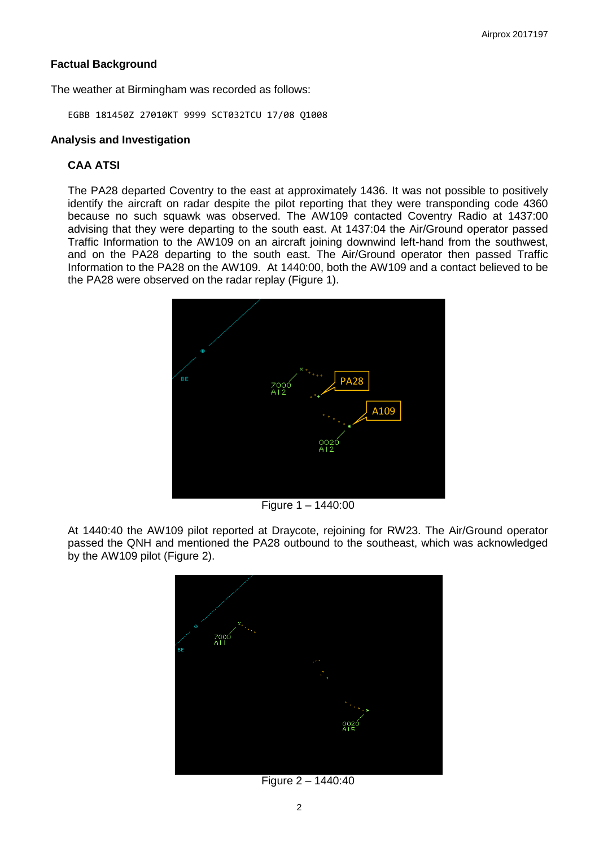# **Factual Background**

The weather at Birmingham was recorded as follows:

EGBB 181450Z 27010KT 9999 SCT032TCU 17/08 Q1008

#### **Analysis and Investigation**

# **CAA ATSI**

The PA28 departed Coventry to the east at approximately 1436. It was not possible to positively identify the aircraft on radar despite the pilot reporting that they were transponding code 4360 because no such squawk was observed. The AW109 contacted Coventry Radio at 1437:00 advising that they were departing to the south east. At 1437:04 the Air/Ground operator passed Traffic Information to the AW109 on an aircraft joining downwind left-hand from the southwest, and on the PA28 departing to the south east. The Air/Ground operator then passed Traffic Information to the PA28 on the AW109. At 1440:00, both the AW109 and a contact believed to be the PA28 were observed on the radar replay (Figure 1).



Figure 1 – 1440:00

At 1440:40 the AW109 pilot reported at Draycote, rejoining for RW23. The Air/Ground operator passed the QNH and mentioned the PA28 outbound to the southeast, which was acknowledged by the AW109 pilot (Figure 2).



Figure 2 – 1440:40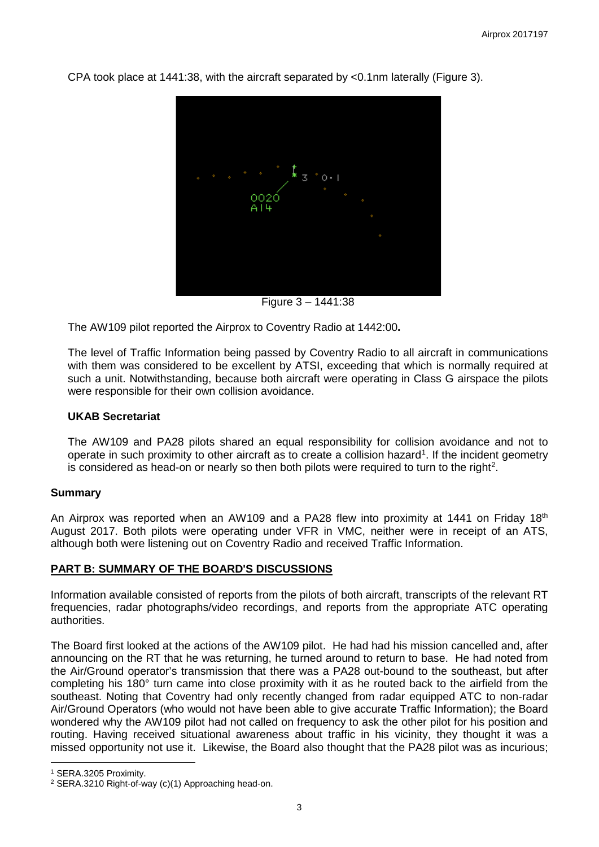

CPA took place at 1441:38, with the aircraft separated by <0.1nm laterally (Figure 3).

Figure 3 – 1441:38

The AW109 pilot reported the Airprox to Coventry Radio at 1442:00**.**

The level of Traffic Information being passed by Coventry Radio to all aircraft in communications with them was considered to be excellent by ATSI, exceeding that which is normally required at such a unit. Notwithstanding, because both aircraft were operating in Class G airspace the pilots were responsible for their own collision avoidance.

### **UKAB Secretariat**

The AW109 and PA28 pilots shared an equal responsibility for collision avoidance and not to operate in such proximity to other aircraft as to create a collision hazard<sup>[1](#page-2-0)</sup>. If the incident geometry is considered as head-on or nearly so then both pilots were required to turn to the right<sup>[2](#page-2-1)</sup>.

### **Summary**

An Airprox was reported when an AW109 and a PA28 flew into proximity at 1441 on Friday 18<sup>th</sup> August 2017. Both pilots were operating under VFR in VMC, neither were in receipt of an ATS, although both were listening out on Coventry Radio and received Traffic Information.

# **PART B: SUMMARY OF THE BOARD'S DISCUSSIONS**

Information available consisted of reports from the pilots of both aircraft, transcripts of the relevant RT frequencies, radar photographs/video recordings, and reports from the appropriate ATC operating authorities.

The Board first looked at the actions of the AW109 pilot. He had had his mission cancelled and, after announcing on the RT that he was returning, he turned around to return to base. He had noted from the Air/Ground operator's transmission that there was a PA28 out-bound to the southeast, but after completing his 180° turn came into close proximity with it as he routed back to the airfield from the southeast. Noting that Coventry had only recently changed from radar equipped ATC to non-radar Air/Ground Operators (who would not have been able to give accurate Traffic Information); the Board wondered why the AW109 pilot had not called on frequency to ask the other pilot for his position and routing. Having received situational awareness about traffic in his vicinity, they thought it was a missed opportunity not use it. Likewise, the Board also thought that the PA28 pilot was as incurious;

l

<span id="page-2-0"></span><sup>1</sup> SERA.3205 Proximity.

<span id="page-2-1"></span><sup>2</sup> SERA.3210 Right-of-way (c)(1) Approaching head-on.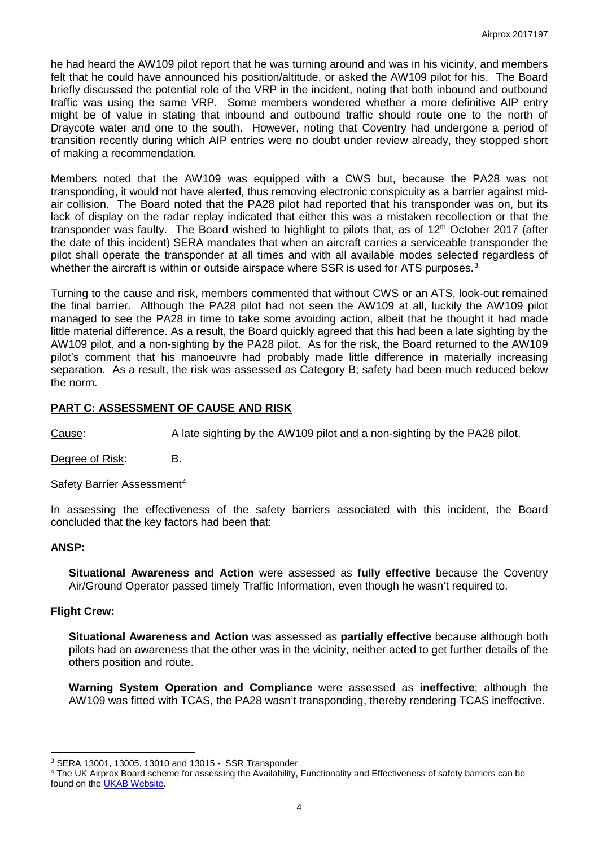he had heard the AW109 pilot report that he was turning around and was in his vicinity, and members felt that he could have announced his position/altitude, or asked the AW109 pilot for his. The Board briefly discussed the potential role of the VRP in the incident, noting that both inbound and outbound traffic was using the same VRP. Some members wondered whether a more definitive AIP entry might be of value in stating that inbound and outbound traffic should route one to the north of Draycote water and one to the south. However, noting that Coventry had undergone a period of transition recently during which AIP entries were no doubt under review already, they stopped short of making a recommendation.

Members noted that the AW109 was equipped with a CWS but, because the PA28 was not transponding, it would not have alerted, thus removing electronic conspicuity as a barrier against midair collision. The Board noted that the PA28 pilot had reported that his transponder was on, but its lack of display on the radar replay indicated that either this was a mistaken recollection or that the transponder was faulty. The Board wished to highlight to pilots that, as of 12<sup>th</sup> October 2017 (after the date of this incident) SERA mandates that when an aircraft carries a serviceable transponder the pilot shall operate the transponder at all times and with all available modes selected regardless of whether the aircraft is within or outside airspace where SSR is used for ATS purposes.<sup>3</sup>

Turning to the cause and risk, members commented that without CWS or an ATS, look-out remained the final barrier. Although the PA28 pilot had not seen the AW109 at all, luckily the AW109 pilot managed to see the PA28 in time to take some avoiding action, albeit that he thought it had made little material difference. As a result, the Board quickly agreed that this had been a late sighting by the AW109 pilot, and a non-sighting by the PA28 pilot. As for the risk, the Board returned to the AW109 pilot's comment that his manoeuvre had probably made little difference in materially increasing separation. As a result, the risk was assessed as Category B; safety had been much reduced below the norm.

#### **PART C: ASSESSMENT OF CAUSE AND RISK**

Cause: A late sighting by the AW109 pilot and a non-sighting by the PA28 pilot.

Degree of Risk: B.

#### Safety Barrier Assessment<sup>[4](#page-3-1)</sup>

In assessing the effectiveness of the safety barriers associated with this incident, the Board concluded that the key factors had been that:

#### **ANSP:**

 $\overline{\phantom{a}}$ 

**Situational Awareness and Action** were assessed as **fully effective** because the Coventry Air/Ground Operator passed timely Traffic Information, even though he wasn't required to.

#### **Flight Crew:**

**Situational Awareness and Action** was assessed as **partially effective** because although both pilots had an awareness that the other was in the vicinity, neither acted to get further details of the others position and route.

**Warning System Operation and Compliance** were assessed as **ineffective**; although the AW109 was fitted with TCAS, the PA28 wasn't transponding, thereby rendering TCAS ineffective.

<span id="page-3-0"></span><sup>3</sup> SERA 13001, 13005, 13010 and 13015 - SSR Transponder

<span id="page-3-1"></span><sup>4</sup> The UK Airprox Board scheme for assessing the Availability, Functionality and Effectiveness of safety barriers can be found on the **UKAB Website**.